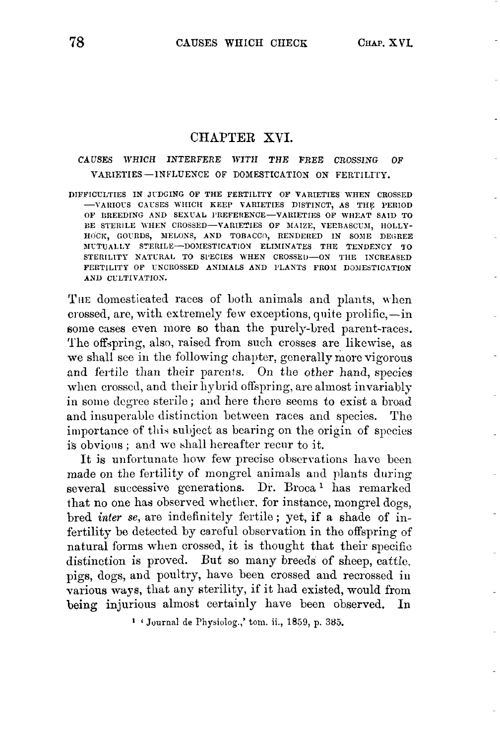### CHAPTER XVI.

### CAUSES WHICH INTERFERE WITH THE FREE CROSSING OF **VARIETIES --INFLUENCE OF DOMESTICATION ON** FERTILITY.

DIFFICULTIES IN JUDGING OF THE FERTILITY OF VARIETIES WHEN CROSSED -VARIOUS CAUSES WHICH KEEP VARIETIES DISTINCT, AS THE PERIOD OF BREEDING AND SEXUAL PREFERENCE-VARIETIES OF WHEAT SAID TO BE STERILE WHEN CROSSED-VARIETIES OF MAIZE, VERBASCUM, HOLLY-HOCK, GOURDS, MELONS, AND TOBACCO, RENDERED IN SOME DEGREE **BIUTUALLY STERILE-DOMESTICATION ELIMINATES THE TENDENCY TO** STERILITY NATURAL TO SPECIES WHEN CROSSED-ON THE INCREASED FERTILITY OF UNCROSSED ANIMALS AND PLANTS FROM DOMESTICATION **AND CULTIVATION.** 

THE domesticated races of both animals and plants, when crossed, are, with extremely few exceptions, quite prolific, $-\text{in}$ some cases even more so than the purely-bred parent-races. The offspring, also, raised from such crosses are likewise, as we shall see in the following chapter, generally more vigorous and fertile than their parents. On the other hand, species when crossed, and their hybrid offspring, are almost invariably in some degree sterile; and here there seems to exist a broad and insuperable distinction between races and species. The importance of this subject as bearing on the origin of species is obvious; and we shall hereafter recur to it.

It is unfortunate how few precisc observations have been made on the fertility of mongrel animals and plants during several successive generations. Dr. Broca<sup>1</sup> has remarked that no one has observed whether. for instance, mongrel dogs, bred *inter* **se,** are indefinitely fertile; yet, if a shade of infertility be detected by careful observation in the offspring of natural forms when crossed, it is thought that their specific distinction is proved. But so many breeds of sheep, cattle, pigs, dogs, and poultry, have been crossed and recrossed in various ways, that any sterility, if it had existed, would from being injurious almost certainly have been observed. In

**1 'Journal** de Physiolog.,' tom. ii., 1859, p. **385.**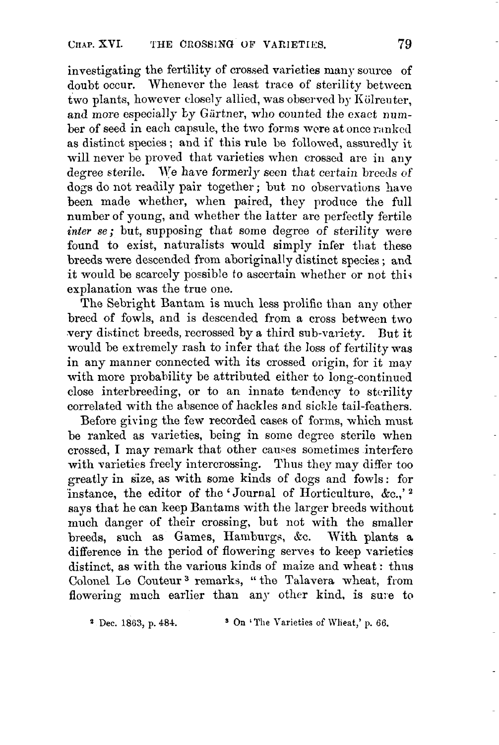investigating the fertility of crossed varieties many source of doubt occur. Whenever the least trace of sterility between two plants, however closely allied, was observed by Kölrenter, and more especially by Gärtner, who counted the exact number of seed in each capsule, the two forms were at once ranked as distinct species ; and if this rule be followed, assuredly it will never be proved that varieties when crossed are in any degree sterile. We have formerly seen that certain breeds of dogs do not readily pair together ; but no observations have been made whether, when paired, they produce the full number of young, and whether the latter are perfectly fertile *inter se*; but, supposing that some degree of sterility were found to exist, naturalists would simply infer that these breeds were descended from aboriginally distinct species ; and it would be scarcely possible to ascertain whether or not this explanation was the true one.

The Sebright Bantam is much less prolific than any other breed of fowls, and is descended from a cross between two very distinct breeds, recrossed by a third sub-variety. But it would be extremely rash to infer that the loss of fertility was in any manner connected with its crossed origin, for it may with more probability be attributed either to long-continued close interbreeding, or to an innate tendency to sterility correlated with the absence of hackles and sickle tail-feathers.

Before giving the few recorded cases of forms, which must be ranked as varieties, being in some degree sterile when crossed, I may remark that other cauces sometimes interfere with varieties freely intercrossing. Thus they may differ too greatly in size, as with some kinds of dogs and fowls : for instance, the editor of the 'Journal of Horticulture, &c.,'<sup>2</sup> says that he can keep Bantams with the larger breeds without much danger of their crossing, but not with the smaller breeds, such as Games, Hamburgs, *Stc.* With plants a difference in the period of flowering serves to keep varieties distinct, as with the various kinds of maize and wheat : thus Colonel Le Couteur **3** remarks, " the Talavera wheat, from flowering much earlier than any other kind, is sure to

**4** Dee. 1863, p. 484. On **"l'he** Varieties of Wlieat,' p. 66.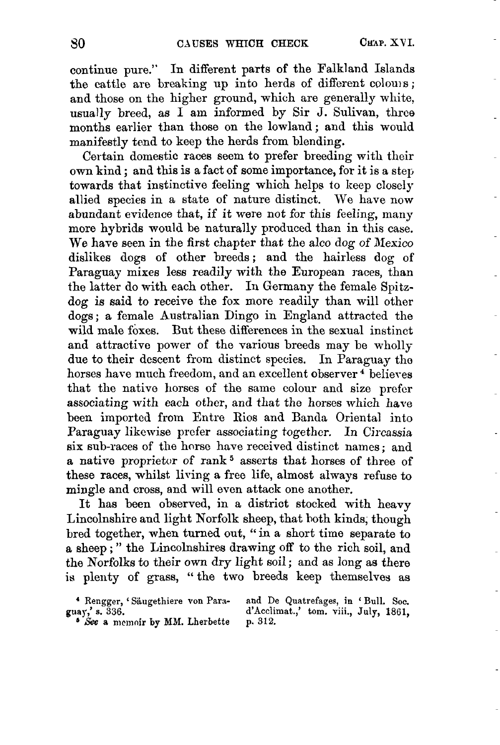continue pure.'' In different parts of the Falkland Islands the cattle are breaking up into herds of different colouis; and those on the higher ground, which are generally white, usually breed, as I am informed by Sir J. Sulivan, three months earlier than those on the lowland ; and this would manifestly tend to keep the herds from blending.

Certain domestic races seem to prefer breeding with their own kind ; and this is a fact of some importance, for it is a step towards that instinctive feeling which helps to keep closely allied species in a state of nature distinct. We have now abundant evidence that, if it were not for this feeling, many more hybrids would be naturally produced than in this case. We have seen in the first chapter that the alco dog of Nexico dislikes dogs of other breeds; and the hairless dog of Paraguay mixes less readily with the European races, than the latter do with each other. In Germany the female Spitzdog is said to receive the fox more readily than will other dogs; a female Australian Dingo in England attracted the wild male foxes. But these differences in the sexual instinct and attractive power of the various breeds may be wholly due to their descent from distinct species. In Paraguay tho horses have much freedom, and an excellent observer<sup>4</sup> believes that the native horses of the same colour and size prefer associating with each other, and that the horses which have been imported from Entre Rios and Banda Oriental into Paraguay likewise prefer associating together. In *Circassia* six sub-races of the horse have received distinct names ; and a native proprietor of rank<sup>5</sup> asserts that horses of three of these races, whilst living a free life, almost always refuse to mingle and crosa, and will even attack one another.

It has been observed, in a district stocked with heavy Lincolnshire and light Norfolk sheep, that hoth kinds, though bred together, when turned out, " in a short time separate to **<sup>a</sup>**sheep ; " the Linoolnshires drawing off to the rich soil, and the Norfolks to their own dry light soil; and as long as there **is** plenty of grass, "the two breeds keep themselves as

**and De Quatrefages, in** ' **Bull.** Soc. guay,' s. 336. d'Acclimat.,' tom. viii., July, 1861, **p. 312.** 

**<sup>4</sup>vgger,** ' **Slugethiere von Para-** 

<sup>\*</sup> *Six* **a nirmoir by MSI. Lherbette**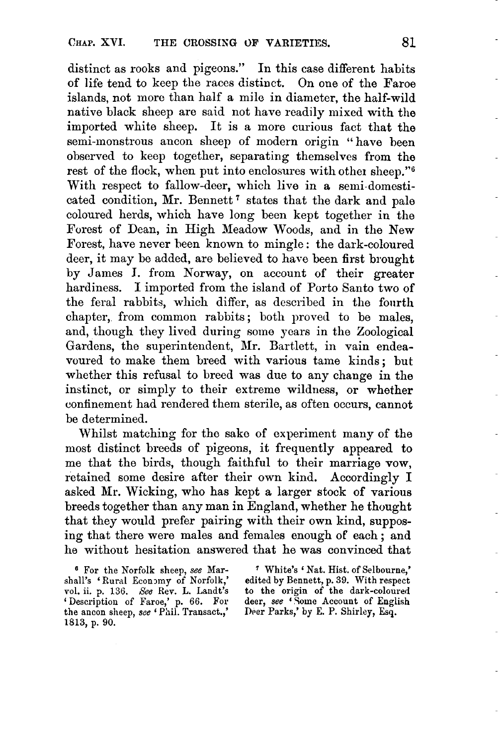distinct as rooks and pigeons.'' In this case different habits of life tend to keep the races distinct. On one of the Faroe islands, not more than half a mile in diameter, the half-wild native black sheep are said not have readily mixed with the imported white sheep. It is a more curious fact that the semi-monstrous ancon sheep of modern origin " have been observed to keep together, separating themselves from the rest of the flock, when put into enclosures with other sheep."6 With respect to fallow-deer, which live in a semi-domesticated condition, Mr. Bennett<sup>7</sup> states that the dark and pale coloured herds, which have long been kept together in the Forest of Dean, in High Meadow Woods, and in the New Forest, have never heen known to mingle : the dark-coloured deer, it may be added, are believed to have been first brought by James **I.** from Norway, on account of their greater hardiness. I imported from the island of Porto Santo two of the feral rabbits, which differ, as described in the fourth chapter, from common rabbits ; both proved to be males, and, though they lived during some years in the Zoological Gardens, the superintendent, Mr. Bartlett, in vain endeavoured to make them breed with various tame kinds; but whether this refusal to breed was due to any change in the instinct, or simply to their extreme wildness, or whether confinement had rendered them sterile, as often occurs, cannot be determined.

Whilst matching for tho sake of experiment many of the most distinct breeds of pigeons, it frequently appeared to me that the birds, though faithful to their marriage vow, retained some desire after their own kind. Accordingly I asked **Mr.** Wicking, who has kept a larger stock of various breeds together than any man in England, whether he thought that they would prefer pairing with their own kind, supposing that there were males and females enough of each ; and he without hesitation answered that he was convinced that

*<sup>6</sup>***For the Norfolk sheep, see Mar-** ' **White's** ' **Nat. Hist.** of **Selbourne,' shall's** 'Rural **Econ3my of Norfolk,' edited by Bennett, p. 39. With respect 1701. ii.** p. **136.** *See* **Rev. L. Landt's to the origin** of **the dark-coloured**  deer, see 'Some Account of English Deer Parks,' by E. P. Shirley, Esq.

**the ancon sheep, see Phil. Transact.,' Deer Parks,' by E. P. Shirley, Esq. 1813, p. 90.**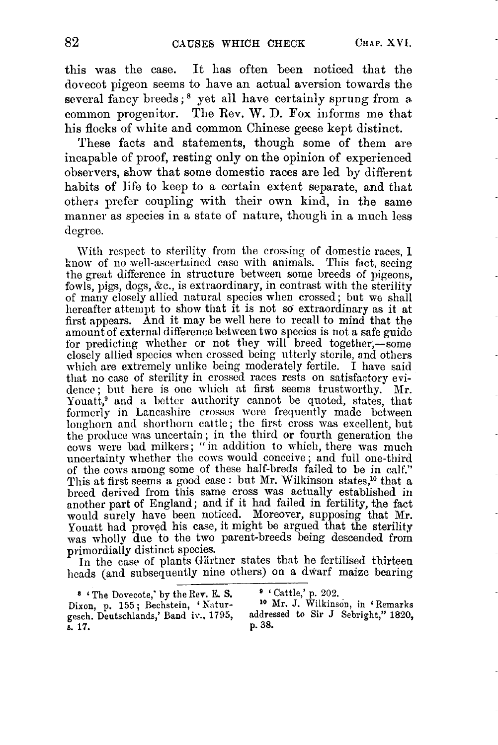this was the case. It has often been noticed that the dovecot pigeon seems to have an actual aversion towards the several fancy breeds;<sup>8</sup> yet all have certainly sprung from a. common progenitor. The Rev. W. D. **Fox** informs me that his flocks of white and common Chinese geese kept distinct.

These facts and statements, though some of them are incapable of proof, resting only on the opinion of experienced observers, show that some domestic races are led by different habits of life to keep to a certain extent separate, and that others prefer coupling with their own kind, in the same manner as species in a state of nature, though in a much less degree.

With respect to sterility from the crossing of domestic races, 1 know of no well-ascertained case with animals. This fact, seeing the great difference in structure between some breeds of pigeons, fowls, pigs, dogs, &c., is extraordinary, in contrast with the sterility of marly closely allied natural specics when crossed; but **we** shall liereafter attempt to show that it is not *SO* extraordinary as it at first appears. And it may be well here to recall to mind that the amount of external difference between two species is not a safe guide for predicting whether or not they will breed together,—some closely allied spccica whcn crossed being utterly stcrile, and others mhich are extremely unlike being moderately fertile. **I havc** said that no casc of sterility in crossed races rests on satisfactory evi dence; but here is one which at first seems trustworthy. Mr. Youatt,<sup>9</sup> and a better authority cannot be quoted, states, that formerly in Lancashire crosses were frequently made between longhorn and shorthorn cattle; the first cross was excellent, but the produce mas uncertain ; in the third or fourth generation the cows were bad milkers; "in addition to which, there was much uncertainty whether the cows would conceive; and full one-third of the cows among some of these half-brecls failed to be in calf." This at first seems a good case: but Mr. Wilkinson states,<sup>10</sup> that a breed derived from this same cross was actually established in another part of England; and if it had failed in fertility, the fact would surely have been noticed. Moreover, supposing that Mr. Youatt had proved his case, it might be argued that the sterility was wholly due to the two parent-breeds being descended from

primordially distinct species.<br>In the case of plants Gürtner states that he fertilised thirteen heads (and subsequently nine others) on a dwarf maize bearing

- \* **6 The Dovecote,'** by **the Rev. E. S.** ' ' **Cattle,'** p. *202.*
- gesch. Deutschlands,' Band iv., 1795, addressed. Deutschlands,' Band iv., 1795, addressed. **s. 17. p. 38.**

**Dixon,** p. **155** ; **Rechstein,** ' **Natur- lo Mr. J. Wilkinson,** in **6 Remarks**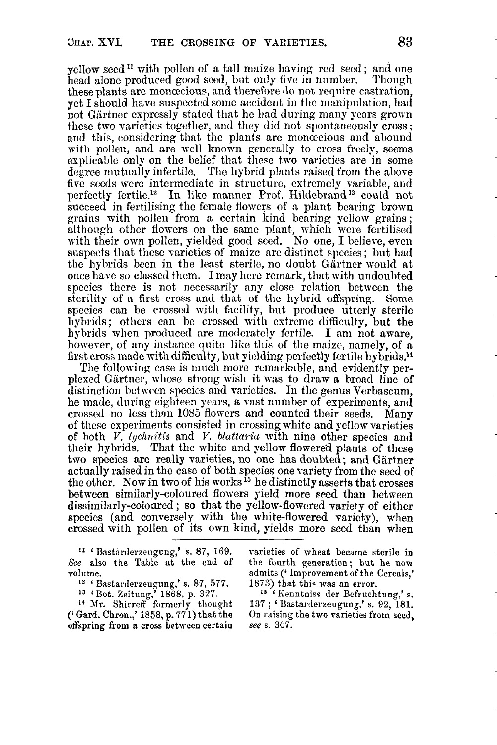yellow seed<sup>11</sup> with pollen of a tall maize having red secd; and one head alone produced good seed, but only five in number. Though head alone produced good seed, but only five in number. these plants are monoscious, and therefore do not require castration. yet I should have suspected some accident in the manipulation, had not Gärtner expressly stated that he had during many years grown these two varietics together, and they did not spontaneously cross; and this, considering that the plants are monomore and abound with pollen, and are well known generally to cross freely, seems explicable only on the belief that these two varieties are in some degree mutually infertile. The hybrid plants raised from the above five seeds were intermediate in structure, extremely variable, and perfectly fertile.<sup>12</sup> In like manner Prof. Hildebrand<sup>13</sup> could not succeed in fertilieing the fcmalc flowcrs of a plant bcaring brown grains with pollen from a certain kind bearing yellow grains; althongh other flowers on the same plant, which were fertilised with their own pollen, yielded good seed. No one, I believe, even suspects that these varieties of maize are distinct species; but had the hybrids been in the least sterile, no doubt Gartner would at once have so classed them. I may here remark, that with undoubted species there is not necessarily any close relation between the sterility of a first cross and that of the hybrid offspring. Some species can be crosscd with facility, but produce utterly sterile hybrids; others can be crossed with extreme difficulty, but the hybrids when produced are moderately fertile. I am not aware, however, of any instance quite like this of the maize, namely, of a first cross made with difficulty, **but** yielding perfectly fertile hybrids.'4

The following case is much more remarkable, and evidently perplexed Giirtncr, whose strong wish it **was** to draw a broad line of distinction betwen species and varieties. In the genus Verbascum, he made, during eighteen ycars, a wst number of experiments, and crossed no less than 1085 flowers and counted their seeds. Many of these experiments consisted in crossing white and yellow varieties of hoth *V. lychrtitis* and *V. bluttaria* with nine other species and their hybrids. That the white and yellow flowered plants of these<br>two species are really varieties, no one has doubted; and Gärtner actually raised in the case of both species one variety from the seed of the other. Now in two of his **works l5** he distinctly asserts that crosses between similarly-coloured flowers yield more seed than between dissimilarly-coloured; so that the yellow-flowered variety of either species (and conversely with the white-flowered variety), when crossed with pollen of its own kind, yields more seed than when

**I1** ' Bastarderzeugcng,' s. **87,** 169. See also the Table at the end of volume.

- <sup>12</sup> ' Bastarderzeugung,' s. 87, 577.
- **I3** 'Dot. Zeitung,' 1868, p. 327.

**l4** Mr. Shirrefl' formerly thought (' Gard. Chron.,' 1858, p. **771)** that the offspring from a cross between certain varieties of wheat became sterile **in**  the fourth generation; but he **now**  admits ('Improvement of the Cereals,'<br>1873) that this was an error.

<sup>15</sup><sup>74</sup> Kenntniss der Befruchtung,' s. **<sup>137</sup>**; ' Bastarderzeugung,' s. **92,** 181. On raising the two varieties from seed, **see** s. **307.**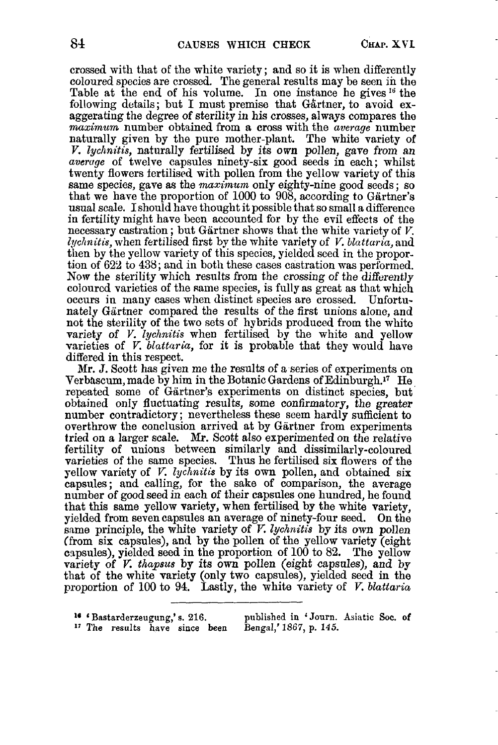crossed with that of the white variety ; and so it is when differently coloured species are crossed. The general results may be seen **in** the Table at the end of his volume. In one instance he gives  $^{16}$  the following details; but I must premise that Gärtner, to avoid exaggerating the degree of sterility in his crosses, always compares the *maximum* number obtained from a cross with the *average* number naturally given by the pure mother-plant. The white variety **of**  *V. lychnitis, naturally fertilised by its own pollen, gave from an averuge* of twelve capsules ninety-six good seeds in each; whilst twenty flowers fertilised with pollen from the yellow variety of this same species, gave as the *maximum* onIy eighty-nine good seeds ; so that we have the proportion of 1000 to 908, according to Gartner's usual scale. Ishould have thought it possible that so small a difference **in** fertility might have been accounted for by the evil effects of the necessary castration; but Gärtner shows that the white variety of *V*. *Zycltnitis,* when fertilised first by the white variety of *V, bluttaria,* and then by the yellow variety of this species, yielded seed in the proportion of **622** to **438;** and in both these cases castration was performed. Now the sterility which results from the crossing of the differently coloured varieties of the same species, is fully as great as that which occurs **in** many cases when distinct species are crossed. Unfortunately Gartner compared the results *of* the first unions alone, and not the sterility of the two sets of hybrids produced from the whito variety of *V. lyclmitis* when fertilised by the white and yellow varieties of *V. blattaria,* for **it** is probable that they would have differed in this respect.

Mr. **J.** Scott has given me the results of a series of experiments on Verbascum, made by him in the Botanic Gardens of Edinburgh.<sup>17</sup> He repeated some of Gartner's experiments on distinct species, but obtained only fluctuating results, some confirmatory, the greater number contradictory; nevertheless these seem hardly sufficient to overthrow the conclusion arrived at by Gärtner from experiments tried on a larger scale. **MI-.** Scott also experimented on the relative fertility of unions between similarly and dissimilarly-coloured varieties of the same species. Thus he fertilised **six** flowers of the yellow variety of *V. lyclinitis* by its own pollen, and obtained six capsules; and calling, for the sake of comparison, the average number **of** good seed in each of their capsules one hundred, he found that this same yellow variety, when fertilised by the white variety, yielded from seven capsules an average of ninety-four seed. On the same principle, the white variety of *V. lychnitis* by its own pollen (from six capsules), and by the pollen of the yellow variety (eight czpsules), yielded seed in the proportion **of** 100 to **82.** The yellow variety of *V. thapsus* by its **own** pollen (eight Capsules), **and** by that of the white variety (only two capsules), yielded seed in the proportion of 100 to 94. Lastly, the white variety of *V. blattaria* 

- 
- $T$  The results have since been

<sup>16</sup> 'Bastarderzeugung,' s. 216. published in 'Journ. Asiatic Soc. of <sup>17</sup> The results have since been Bengal,' 1867, p. 145.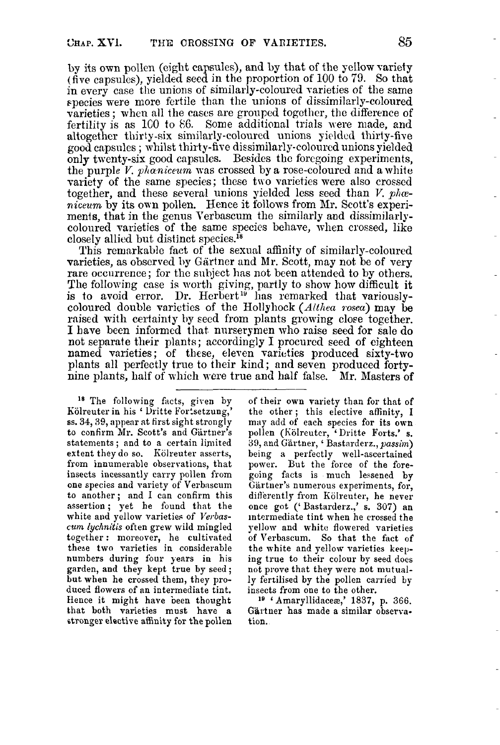by its own pollen (ciglit capsules), and by that of the yellow variety (five capsules), yielded seed in the proportion of 100 to 79. So that in every case the unions of similarly-coloured varieties of the same species were more fertile than the unions of dissimilarly-coloured varieties ; when all the cases are grouped together, the difference of fertility is as 100 to 86. Some additional trials were made, and altogether thirty-six similarly-coloured unions yielded thirty-five good capsules; whilst thirty-five dissimilarly-coloured unions yielded only twenty-six good capsules. Besides thc forcgoing experiments, the purple  $V$ , phaniceum was crossed by a rose-coloured and a white variety of the same species; these two varieties were also crossed together, and these several unions yielded less seed than *V. phoe*niceum by its own pollen. Hence it follows from Mr. Scott's experiments, that in the genus Verbascum the similarly and dissimilarlycolourecl varieties of the same species behave, when crossed, like closely allied but distinct species.<sup>18</sup>

This remarkable fact of the sexual affinity of similarly-coloured varieties, as observed by Glrtner and Mr. Scott, may not be **of** very rare occurrence: for the subject has not been attended to by others. The following case is worth giving, partly to show how difficult it is to avoid error. Dr. Herbert<sup>19</sup> has remarked that variouslycoloured double varieties of the Hollyhock (*Althea rosea*) may be raised with certainty by seed from plants growing close together. I have been informed that nurserymen who raise seed for sale do not separate their plants; accordingly I procurcd seed of eighteen named varieties; of these, eleven varieties produced sixty-two plants **all** perfectly true to their kind; and seven produced fortynine plants, half of which were true and half false. Mr. Masters of

<sup>18</sup> The following facts, given by Kolreuter in his ' Uritte Fortsetzung,' **ss. 34,39,** appear at first sight strongly to confirm Mr. Scott's and Gärtner's statements; and to a certain limited extent they do so. Kölreuter asserts, from innumerable observations, that insects incessantly carry pollen from one species and variety of' Verbascum to another; and I can confirm this assertion; yet he found that the white and yellow varieties of *Verbascum* lychnitis often grew wild mingled together : moreover, he cultivated these two varieties in considerable numbers during four years in his garden, and they kept true by seed ; but when he crossed them, they produced flowers of an intermediate tint. Hence it might have been thought that both varieties must have **a**  stronger elective affinity for the pollen

of their own variety than for that of the other; this elective affinity, **I**  may add of each species for its own pollen (Kölreuter, 'Dritte Forts.' s. 39, and Glrtner, ' Bastarderz., *passim)*  being a perfectly well-ascertained power. But the force of the foregoing facts is much lessened by Gärtner's numerous experiments, for, differently from Kolreuter, he never once got ('Bastarderz.,' **s. 307)** an intermediate tint when he crossed the yellow and whitc flowered varieties of Verbascum. So that the fact of the white and yellow varieties keeping true to their colour by seed does not prove that they were not mutually fertilised by the pollen carried by insects from one to the other.

**Is** 'Amaryllidaces,' **1837,** p. **366.**  Gärtner has made a similar observation.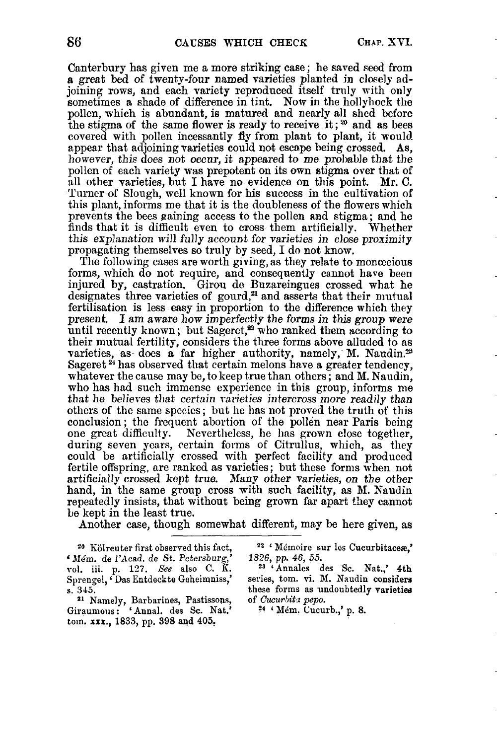Canterbury has given me a more striking case ; he saved seed from a great bed of twenty-four named varieties planted in closely adjoining rows, and each variety reproduced itself truly with **only**  sometimes a shade of difference in tint. **Now** in the hollyhock the pollen, which is abundant, is matured and nearly all shed before the stigma **of** the same flower is ready to receive it ; **2o** and **as** bees covered with pollen incessantly fly from plant to plant, it would<br>appear that adjoining varieties could not escape being crossed. As, however, this does not occur, it appeared to me probable that the pollen of each variety was prepotent **on** its own stigma over that **of**  all other varieties, but I have no evidence on this point. Mr. C. Turner of Slough, well known for his succcss in the cultivation **of**  this plant, informs me that it is the doubleness of the flowers which prevents the bees paining access to the pollen and stigma; and he finds that it is difficult even to cross them artificially. Whether this explanation will fully account for varieties in close proximity propagating themselves so truly by seed, I do not know.

The following cases are worth giving, as they relate to monoecious forms, which **do** not require, and consequently cannot have been injured by, castration. Girou dc Bnzareingues crossed what he designates three varieties of gourd, $a$  and asserts that their mutual fertilisation is less easy in proportion to the difference which they present. I am aware how imperfectly the forms *in* this *group* were until recently known; but Sageret,<sup>22</sup> who ranked them according to their mutual fertility, considers the three forms above alluded to **as**  varieties, as does a far higher authority, namely, M. Naudin.<sup>28</sup> Sageret<sup>24</sup> has observed that certain melons have a greater tendency, whatever the cause may be, to keep true than others ; and **M.** Naudin, who has had such immense experience in this group, informs me that he believes that certain varieties intercross more readily than others of the same species ; but he has not proved the truth *of* this conclusion ; the frequent abortion of the pollen near Paris being one great difficulty. Nevertheless, he has grown close together, during seven ycars, certain forms of Citrullus, which, as they could be artificially crossed with perfect facility and produced fertile offspring, are ranked as varieties; but these forms when not artificially crossed kept true. Many other varieties, *on* the *other*  hand, in the same group cross with such facility, **as** M. Naudin repeatedly insists, that without being grown far apart they cannot **Im** kept in the least true.

Another case, though somewhat different, may be here given, as

<sup>20</sup> Kölreuter first observed this fact, <sup>22</sup> <sup>1</sup> Mémoire sur les Cucurbitacese,' <br>16m. de l'Acad. de St. Petersburg,' 1826, pp. 46, 55. **<sup>6</sup>**JIe'm. *de* **1'Acad. de** *St.* **Petemburg,' 1826,** pp. **46,** 55. **1-01. iii.** p. **127.** *See* **also C.** K. **23 'Annales des Sc. Nat.,' 4th**  Sprengel, *Das Entdeckte Geheimniss*,'

<sup>21</sup> Namely, Barbarines, Pastissons, of *Cucurbita pepo.* **Giraumous:** 'Annal. des Sc. Nat.' <sup>24</sup> 'Mém. Cucurb.,' p. 8. tom. **xxx., 1833,** pp. **398 and 405,** 

**s. 345. these forms** as **undoubtedly varieties**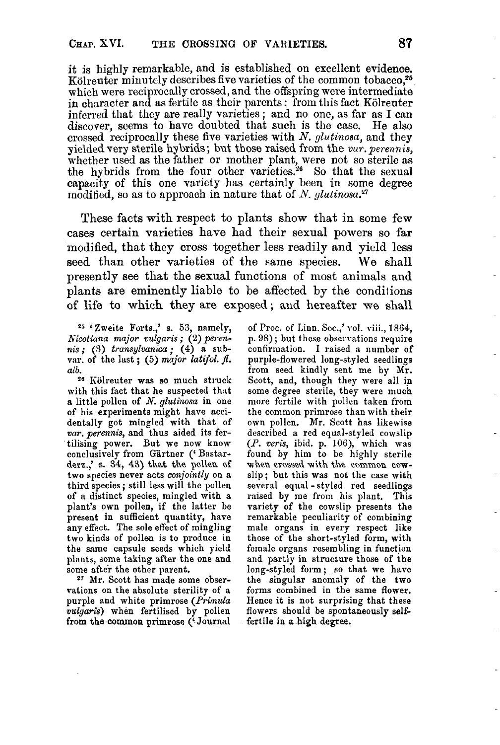it is highly remarkable, and is established on excellent evidence. Kölreuter minutely describes five varieties of the common tobacco,<sup>25</sup> which were reciprocally crossed, and the offspring were intermediate in character and as fertile as their parents : from this fact Kolreuter inferred that they are really varieties ; and no one, as far as I can discover, seems to have doubted that such is the case. He also crossed reciprocally these five varieties with *N. glutinosa,* and they yielded very sterile hybrids; but those raised from the *vur. perennis*, whether used *as* the father or mother plant, were not so sterile *as*  the hybrids from the four other varieties.<sup>26</sup> So that the sexual capacity of this one variety has certainly been in some degree modified, so as to approach in nature that of *N. glutinosa*.<sup>27</sup>

These facts with respect to plants show that in some few cases certain varieties have had their sexual powers so far modified, that they cross together less readily and yield less seed than other varieties **of** the same species. We shall presently see that the sexual functions of most animals and plants are eminently liable to be affected by the conditions of life to which they are exposed; and hereafter we shall

*<sup>25</sup>*'Zweite Forts.,' **s. 53,** namely, *h-icotiana major oulgaris* ; **(2)** *perennis;* **(3)** *transylvanica;* **(4)** a subvar. of the last;  $(5)$  major latifol.  $\beta$ . *alb.* 

**<sup>26</sup>**Kiilreuter was **so** much struck with this fact that he suspected that a little pollen of *N. glutinosa* in one of his experiments might have accidentally got mingled with that of *war. perennis,* and thus aided its fertilising power. But we now know conclusively from Gartner (' Bastarderz.,' **s. 34, 43)** that **the pollen of**  two species never acts *conjointly* on **a**  third species ; still less will the pollen of **a** distinct species, mingled with a plant's own pollen, if the latter be present in sufficient quantity, have any effect. The sole effect of mingling two kinds of pollen **is** *to* produce in the same capsule seeds which yield plants, some taking after the one and some after the other parent.

**27** Mr. Scott has made some observations on the absolute sterility of a purple and white primrose *(Primula vulgaris)* when fertilised **by** pollen **from** the **common** primrose ('Journal

of Proc. of Linn. Soc.,' vol. viii., 1864, p. 98); but these observations require confirmation. I raised a number of purple-flowered long-styled seedlings from seed kindly sent me by Mr. Scott, and, though they were all in some degree sterile, they were much more fertile with pollen taken from the common primrose than with their own pollen. Mr. Scott has likewise described a red equal-styled cowslip *(P. veris,* ibid. p. **lOS),** which **was**  found by him to be highly sterile **wheu crossed** with the **common cow**slip; but this was not the case with several equal -styled red seedlings raised by me from his plant. This variety of the cowslip presents the remarkable peculiarity of combining male organs in every respect like those of the short-styled form, with female organs resembling in function and partly in structure those of the long-styled form; so that we have the singular anomdy of the two forms combined in the same flower. Hence **it is** not surprising that these flowers should be spontaneously selffertile in **a** high degree.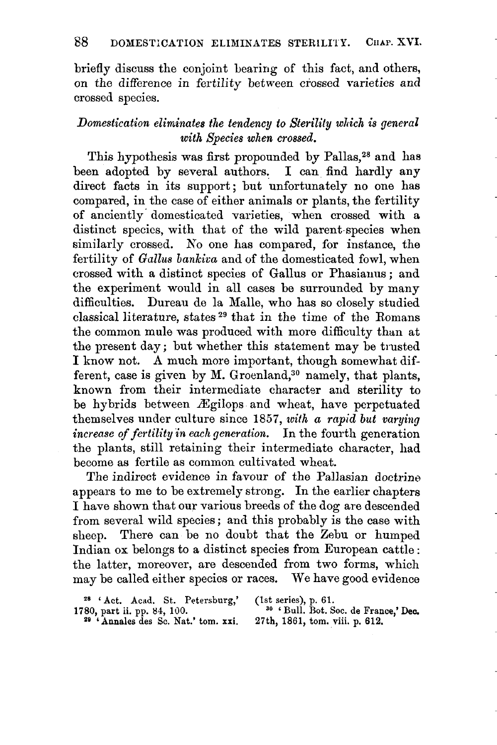briefly discuss the conjoint bearing of this fact, and others, on the difference in fertility between crossed varieties and crossed species.

# *Domestication eliminates the tendency to Sterility which is general with Species when crossed.*

This hypothesis was first propounded by Pallas,<sup>28</sup> and has been adopted by several authors. I can find hardly any direct facts in its support; but unfortunately no one has compared, in the case of either animals or plants, the fertility of anciently- domesticated varieties, when crossed with a distinct specics, with that of the wild parent-species when similarly crossed. No one has compared, for instance, the fertility of *Gullus bankica* and of the domesticated fowl, when crossed with a distinct species of Gallus or Phasianus ; and the experiment would in all cases be surrounded by many difficulties. Dureau de la Malle, who has so closely studied classical literature, states<sup>29</sup> that in the time of the Romans the common mule was produced with more difficulty than at the present day ; but whether this statement may be trusted I know not. **A** much more important, though somewhat different, case is given by M. Groenland,<sup>30</sup> namely, that plants, known from their intermediate character and sterility to be hybrids between Egilops and wheat, have perpetuated themselves under culture since 1857, with a rapid but varying *increase of fertility i'n each generation.* In the fourth generation the plants, still retaining their intermediate character, had become a8 fertile as common cultivated wheat.

The indirect evidence in favour of the Pallasian doctrine appears to me to be extremely strong. In the earlier chapters I have shown that our various breeds of the dog are descended from several wild species ; and this probably is the case with sheep. There can be no doubt that the Zebu or humped Indian **ox** belongs to a distinct species from European cattle : the latter, moreover, are descended from two forms, which may be called either species or races. We have good evidence

**28 'Annales des Sc. Nat.' tom. xxi. 29 'Annales des Sc. Nat.' tom. xxi.** 

<sup>28</sup> 'Act. Acad. St. Petersburg,' (1st series), p. 61.<br>
<sup>28</sup> ' Annales des Sc. Nat.' tom. xxi. 27th, 1861, tom. viii. p. 612.<br>
<sup>29</sup> ' Annales des Sc. Nat.' tom. xxi. 27th, 1861, tom. viii. p. 612.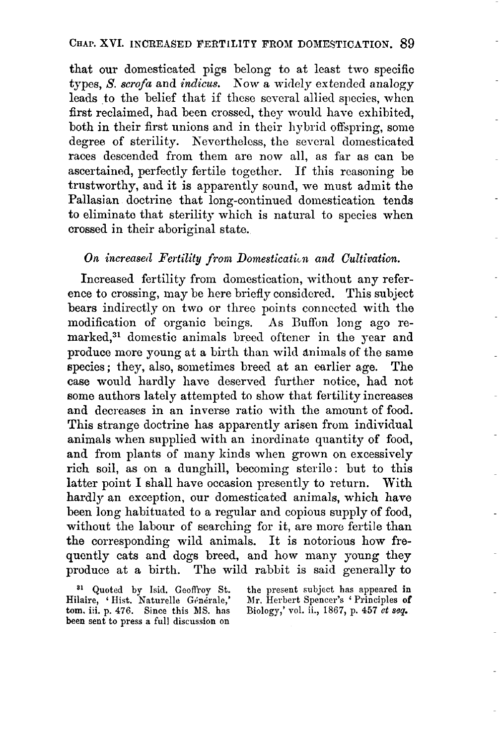### **CHAP. XVI.** INCREASED FERTILITY FROM DOMESTICATION. 89

that our domesticated pigs belong to at least two specific typcs, *S. scrofa* and *indicus.* Kow a widely extended analogy leads to the belief that if these several allied apcies, when first reclaimed, had been crossed, they would have exhibited, both in their first unions and in their hybrid offspring, some degree of sterility. Kevertheless, the several domesticated races descended from them are now all, **as** far as can be ascertained, perfectly fertile together. If this reasoning be trustworthy, and it is apparently sound, we must admit the Pallasian doctrine that long-continued domestication tends to eliminate that sterility which is natural to species when crossed in their aboriginal state.

## *On increased Fertility from Domestication and Cultivation.*

Increased fertility from domestication, without any reference to crossing, may be here briefly considered. This subject bears indirectly on two or three points connected with the modification of organic beings. **As** Euffon long ago remarked,<sup>31</sup> domestic animals breed oftener in the year and produce more young at a birth than wild animals of the same species ; they, also, sometimes breed at an earlier age. The case would hardly have deserved further notice, had not some authors lately attempted to show that fertility increases **and** decreases in an inverse ratio with the amount of food. This strange doctrine has apparently arisen from individual animals when supplied with an inordinate quantity of food, and from plants of many kinds when grown on excessively rich soil, as on a dunghill, becoming sterile: but to this latter point I shall have occasion presently to return. With hardly an exception, our domesticated animals, which have been long habituated to a regular and copious supply **of** food, without the labour of searching for it, are more fertile than the corresponding wild animals. It is notorious how frequently cats and dogs breed, and how many young they produce at a birth. The wild rabbit is said generally to

**tom.** iii. p. **476. Since** this MS. has been sent *to* press a full discussion **on** 

<sup>81</sup> Quoted by Isid. Geoffroy St. the present subject has appeared in Hilaire, 'Hist. Naturelle Générale,' Mr. Herbert Spencer's 'Principles of Mr. Herbert Spencer's ' Principles of Biology,' vol. ii., 1867, p. **457** *ct seq.*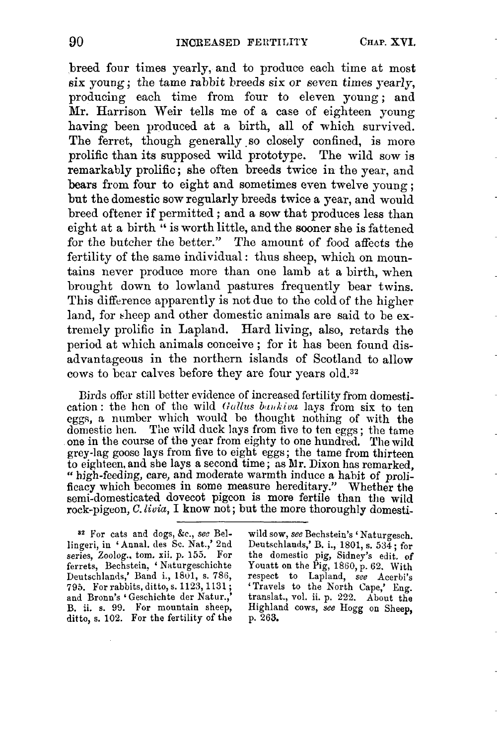breed four times yearly, and to produce each time at most **six** young; the tame rabbit breeds six or seven times yearly, producing each time from four to eleven young; and Nr. Harrison Weir tells me of a case of eighteen young having been produced at a birth, all of which survived. The ferret, though generally so closely confined, is more prolific than its supposed wild prototype. The wild sow **is**  remarkably prolific; she often breeds twice in the year, and bears from four to eight and sometimes even twelve young ; but the domestic sow regularly breeds twice a year, and would breed oftener if permitted ; and a sow that produces less than eight at a birth " is worth little, and the sooner she is fattened for the butcher the better." The amount of food affects the fertility of the same individual: thus sheep, which on mountains never produce more than one lamb at a birth, when brought down to lowland pastures frequently bear twins. This difference apparently is not due to the cold of the higher land, for sheep and other domestic animals are said to be extremely prolific in Lapland. Hard living, also, retards the period at which animals conceive ; for it has been found disadvantageous in the northern islands of Scotland to allow cows to bear calves before they are four years old.<sup>32</sup>

Birds offer still better evidence of increased fertility from domestication: the hen of the wild *Gallus bankiva* lays from six to ten eggs, a number which would be thought nothing of with the domestic hen. The wild duck lays from five to ten eggs; the tame one in the course of the year from eighty to one hundred. The wild grey-lag goose lays from five to eight eggs; the tame from thirteen<br>to eighteen, and she lays a second time; as Mr. Dixon has remarked,<br>"high-feeding, care, and moderate warmth induce a habit of proli-" high-feeding, care, and moderate warmth induce a habit of prolificacy which becomes in some measure hereditary." Whether the semi-domesticated dovecot pigcon is more fertile than the wild rock-pigeon, *C. livia*, I know not; but the more thoroughly domesti-

lingeri, in 'Annal. des Sc. Nat.,' 2nd series, Zoolog., tom. xii. p. 155. For ditto, s. 102. For the fertility of the

**a\*** For cats and dogs, **&c.,** see Bel- wild sow, *see* Bechstein's ' Naturgesch. series, Zoolog.. tom. xii. p. **155.** For the domestic pig, Sidney's edit. **of**  ferrets, Bechstein, ' Naturgeschichte Youatt on the Pig, 1860, p. 62. With Deutschlands,' Band i., 1801, s. 786, respect to Lapland, *see* Acerbi's 795. Forrabbits, ditto, s. 1123, 1131; 'Travels to the North Cape,' Eng. 795. For rabbits, ditto, s. 1123, 1131; 'Travels to the North Cape,' Eng. and Bronn's 'Geschichte der Natur.,' translat., vol. ii. p. 222. About the B. ii. s. 99. For mountain sheep, Highland cows, see Hogg on Sheep, Highland cows, see Hogg on Sheep, p. 263.